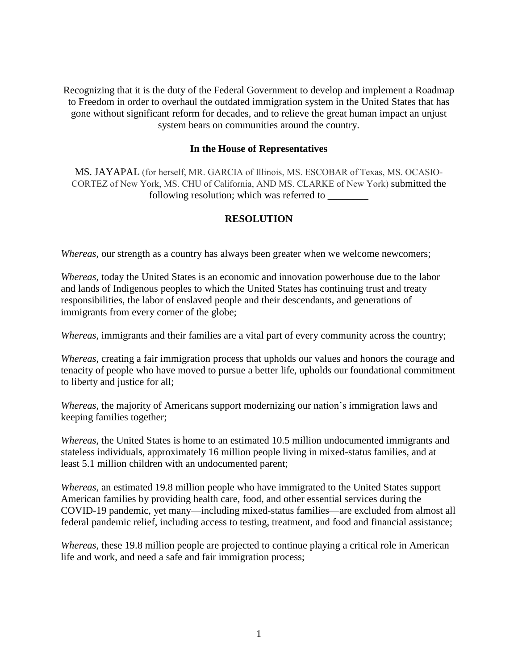Recognizing that it is the duty of the Federal Government to develop and implement a Roadmap to Freedom in order to overhaul the outdated immigration system in the United States that has gone without significant reform for decades, and to relieve the great human impact an unjust system bears on communities around the country.

## **In the House of Representatives**

MS. JAYAPAL (for herself, MR. GARCIA of Illinois, MS. ESCOBAR of Texas, MS. OCASIO-CORTEZ of New York, MS. CHU of California, AND MS. CLARKE of New York) submitted the following resolution; which was referred to \_\_\_\_\_\_\_\_

## **RESOLUTION**

*Whereas*, our strength as a country has always been greater when we welcome newcomers;

*Whereas*, today the United States is an economic and innovation powerhouse due to the labor and lands of Indigenous peoples to which the United States has continuing trust and treaty responsibilities, the labor of enslaved people and their descendants, and generations of immigrants from every corner of the globe;

*Whereas*, immigrants and their families are a vital part of every community across the country;

*Whereas,* creating a fair immigration process that upholds our values and honors the courage and tenacity of people who have moved to pursue a better life, upholds our foundational commitment to liberty and justice for all;

*Whereas*, the majority of Americans support modernizing our nation's immigration laws and keeping families together;

*Whereas,* the United States is home to an estimated 10.5 million undocumented immigrants and stateless individuals, approximately 16 million people living in mixed-status families, and at least 5.1 million children with an undocumented parent;

*Whereas*, an estimated 19.8 million people who have immigrated to the United States support American families by providing health care, food, and other essential services during the COVID-19 pandemic, yet many—including mixed-status families—are excluded from almost all federal pandemic relief, including access to testing, treatment, and food and financial assistance;

*Whereas*, these 19.8 million people are projected to continue playing a critical role in American life and work, and need a safe and fair immigration process;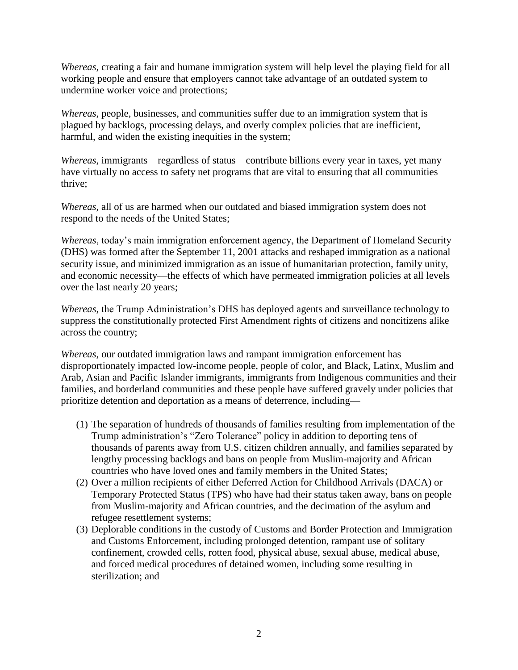*Whereas*, creating a fair and humane immigration system will help level the playing field for all working people and ensure that employers cannot take advantage of an outdated system to undermine worker voice and protections;

*Whereas*, people, businesses, and communities suffer due to an immigration system that is plagued by backlogs, processing delays, and overly complex policies that are inefficient, harmful, and widen the existing inequities in the system;

*Whereas*, immigrants—regardless of status—contribute billions every year in taxes, yet many have virtually no access to safety net programs that are vital to ensuring that all communities thrive;

*Whereas*, all of us are harmed when our outdated and biased immigration system does not respond to the needs of the United States;

*Whereas*, today's main immigration enforcement agency, the Department of Homeland Security (DHS) was formed after the September 11, 2001 attacks and reshaped immigration as a national security issue, and minimized immigration as an issue of humanitarian protection, family unity, and economic necessity—the effects of which have permeated immigration policies at all levels over the last nearly 20 years;

*Whereas*, the Trump Administration's DHS has deployed agents and surveillance technology to suppress the constitutionally protected First Amendment rights of citizens and noncitizens alike across the country;

*Whereas*, our outdated immigration laws and rampant immigration enforcement has disproportionately impacted low-income people, people of color, and Black, Latinx, Muslim and Arab, Asian and Pacific Islander immigrants, immigrants from Indigenous communities and their families, and borderland communities and these people have suffered gravely under policies that prioritize detention and deportation as a means of deterrence, including—

- (1) The separation of hundreds of thousands of families resulting from implementation of the Trump administration's "Zero Tolerance" policy in addition to deporting tens of thousands of parents away from U.S. citizen children annually, and families separated by lengthy processing backlogs and bans on people from Muslim-majority and African countries who have loved ones and family members in the United States;
- (2) Over a million recipients of either Deferred Action for Childhood Arrivals (DACA) or Temporary Protected Status (TPS) who have had their status taken away, bans on people from Muslim-majority and African countries, and the decimation of the asylum and refugee resettlement systems;
- (3) Deplorable conditions in the custody of Customs and Border Protection and Immigration and Customs Enforcement, including prolonged detention, rampant use of solitary confinement, crowded cells, rotten food, physical abuse, sexual abuse, medical abuse, and forced medical procedures of detained women, including some resulting in sterilization; and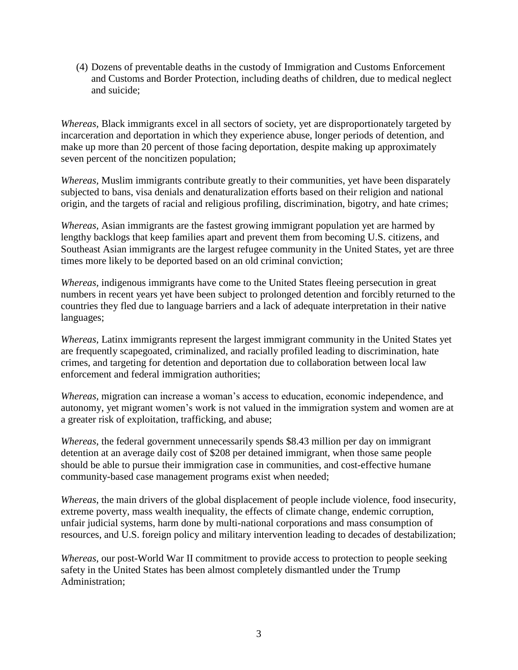(4) Dozens of preventable deaths in the custody of Immigration and Customs Enforcement and Customs and Border Protection, including deaths of children, due to medical neglect and suicide;

*Whereas,* Black immigrants excel in all sectors of society, yet are disproportionately targeted by incarceration and deportation in which they experience abuse, longer periods of detention, and make up more than 20 percent of those facing deportation, despite making up approximately seven percent of the noncitizen population;

*Whereas,* Muslim immigrants contribute greatly to their communities, yet have been disparately subjected to bans, visa denials and denaturalization efforts based on their religion and national origin, and the targets of racial and religious profiling, discrimination, bigotry, and hate crimes;

*Whereas,* Asian immigrants are the fastest growing immigrant population yet are harmed by lengthy backlogs that keep families apart and prevent them from becoming U.S. citizens, and Southeast Asian immigrants are the largest refugee community in the United States, yet are three times more likely to be deported based on an old criminal conviction;

*Whereas,* indigenous immigrants have come to the United States fleeing persecution in great numbers in recent years yet have been subject to prolonged detention and forcibly returned to the countries they fled due to language barriers and a lack of adequate interpretation in their native languages;

*Whereas,* Latinx immigrants represent the largest immigrant community in the United States yet are frequently scapegoated, criminalized, and racially profiled leading to discrimination, hate crimes, and targeting for detention and deportation due to collaboration between local law enforcement and federal immigration authorities;

*Whereas,* migration can increase a woman's access to education, economic independence, and autonomy, yet migrant women's work is not valued in the immigration system and women are at a greater risk of exploitation, trafficking, and abuse;

*Whereas*, the federal government unnecessarily spends \$8.43 million per day on immigrant detention at an average daily cost of \$208 per detained immigrant, when those same people should be able to pursue their immigration case in communities, and cost-effective humane community-based case management programs exist when needed;

*Whereas*, the main drivers of the global displacement of people include violence, food insecurity, extreme poverty, mass wealth inequality, the effects of climate change, endemic corruption, unfair judicial systems, harm done by multi-national corporations and mass consumption of resources, and U.S. foreign policy and military intervention leading to decades of destabilization;

*Whereas*, our post-World War II commitment to provide access to protection to people seeking safety in the United States has been almost completely dismantled under the Trump Administration;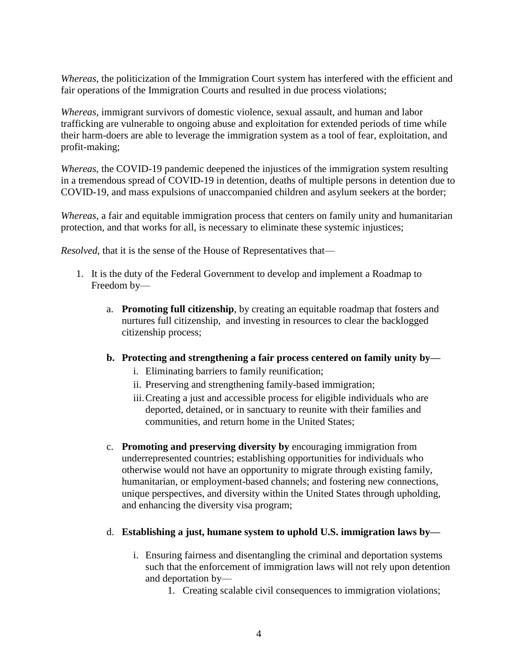*Whereas,* the politicization of the Immigration Court system has interfered with the efficient and fair operations of the Immigration Courts and resulted in due process violations;

*Whereas,* immigrant survivors of domestic violence, sexual assault, and human and labor trafficking are vulnerable to ongoing abuse and exploitation for extended periods of time while their harm-doers are able to leverage the immigration system as a tool of fear, exploitation, and profit-making;

*Whereas,* the COVID-19 pandemic deepened the injustices of the immigration system resulting in a tremendous spread of COVID-19 in detention, deaths of multiple persons in detention due to COVID-19, and mass expulsions of unaccompanied children and asylum seekers at the border;

*Whereas,* a fair and equitable immigration process that centers on family unity and humanitarian protection, and that works for all, is necessary to eliminate these systemic injustices;

*Resolved*, that it is the sense of the House of Representatives that—

- 1. It is the duty of the Federal Government to develop and implement a Roadmap to Freedom by
	- a. **Promoting full citizenship**, by creating an equitable roadmap that fosters and nurtures full citizenship, and investing in resources to clear the backlogged citizenship process;
	- **b. Protecting and strengthening a fair process centered on family unity by**
		- i. Eliminating barriers to family reunification;
		- ii. Preserving and strengthening family-based immigration;
		- iii.Creating a just and accessible process for eligible individuals who are deported, detained, or in sanctuary to reunite with their families and communities, and return home in the United States;
	- c. **Promoting and preserving diversity by** encouraging immigration from underrepresented countries; establishing opportunities for individuals who otherwise would not have an opportunity to migrate through existing family, humanitarian, or employment-based channels; and fostering new connections, unique perspectives, and diversity within the United States through upholding, and enhancing the diversity visa program;
	- d. **Establishing a just, humane system to uphold U.S. immigration laws by**
		- i. Ensuring fairness and disentangling the criminal and deportation systems such that the enforcement of immigration laws will not rely upon detention and deportation by—
			- 1. Creating scalable civil consequences to immigration violations;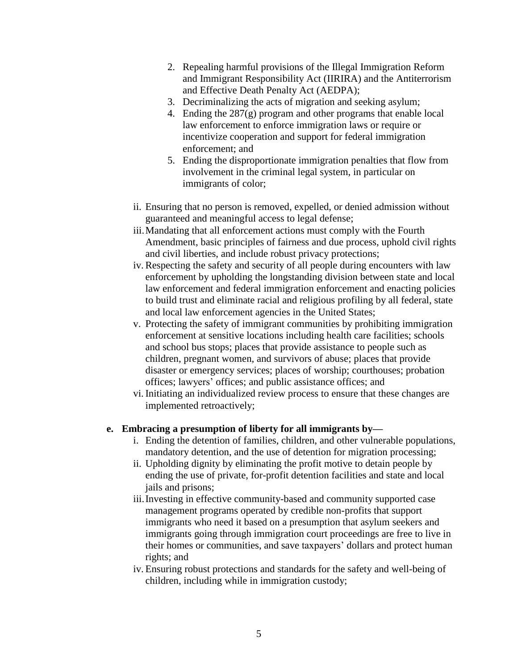- 2. Repealing harmful provisions of the Illegal Immigration Reform and Immigrant Responsibility Act (IIRIRA) and the Antiterrorism and Effective Death Penalty Act (AEDPA);
- 3. Decriminalizing the acts of migration and seeking asylum;
- 4. Ending the  $287(g)$  program and other programs that enable local law enforcement to enforce immigration laws or require or incentivize cooperation and support for federal immigration enforcement; and
- 5. Ending the disproportionate immigration penalties that flow from involvement in the criminal legal system, in particular on immigrants of color;
- ii. Ensuring that no person is removed, expelled, or denied admission without guaranteed and meaningful access to legal defense;
- iii.Mandating that all enforcement actions must comply with the Fourth Amendment, basic principles of fairness and due process, uphold civil rights and civil liberties, and include robust privacy protections;
- iv. Respecting the safety and security of all people during encounters with law enforcement by upholding the longstanding division between state and local law enforcement and federal immigration enforcement and enacting policies to build trust and eliminate racial and religious profiling by all federal, state and local law enforcement agencies in the United States;
- v. Protecting the safety of immigrant communities by prohibiting immigration enforcement at sensitive locations including health care facilities; schools and school bus stops; places that provide assistance to people such as children, pregnant women, and survivors of abuse; places that provide disaster or emergency services; places of worship; courthouses; probation offices; lawyers' offices; and public assistance offices; and
- vi. Initiating an individualized review process to ensure that these changes are implemented retroactively;

## **e. Embracing a presumption of liberty for all immigrants by—**

- i. Ending the detention of families, children, and other vulnerable populations, mandatory detention, and the use of detention for migration processing;
- ii. Upholding dignity by eliminating the profit motive to detain people by ending the use of private, for-profit detention facilities and state and local jails and prisons;
- iii.Investing in effective community-based and community supported case management programs operated by credible non-profits that support immigrants who need it based on a presumption that asylum seekers and immigrants going through immigration court proceedings are free to live in their homes or communities, and save taxpayers' dollars and protect human rights; and
- iv. Ensuring robust protections and standards for the safety and well-being of children, including while in immigration custody;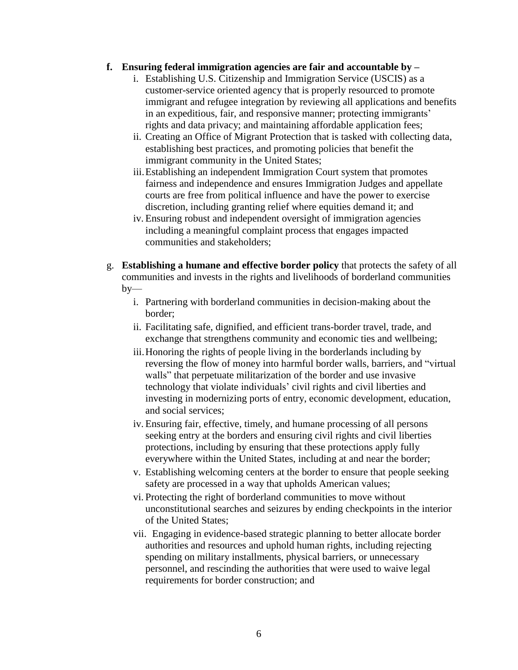## **f. Ensuring federal immigration agencies are fair and accountable by –**

- i. Establishing U.S. Citizenship and Immigration Service (USCIS) as a customer-service oriented agency that is properly resourced to promote immigrant and refugee integration by reviewing all applications and benefits in an expeditious, fair, and responsive manner; protecting immigrants' rights and data privacy; and maintaining affordable application fees;
- ii. Creating an Office of Migrant Protection that is tasked with collecting data, establishing best practices, and promoting policies that benefit the immigrant community in the United States;
- iii.Establishing an independent Immigration Court system that promotes fairness and independence and ensures Immigration Judges and appellate courts are free from political influence and have the power to exercise discretion, including granting relief where equities demand it; and
- iv. Ensuring robust and independent oversight of immigration agencies including a meaningful complaint process that engages impacted communities and stakeholders;
- g. **Establishing a humane and effective border policy** that protects the safety of all communities and invests in the rights and livelihoods of borderland communities  $by$ 
	- i. Partnering with borderland communities in decision-making about the border;
	- ii. Facilitating safe, dignified, and efficient trans-border travel, trade, and exchange that strengthens community and economic ties and wellbeing;
	- iii.Honoring the rights of people living in the borderlands including by reversing the flow of money into harmful border walls, barriers, and "virtual walls" that perpetuate militarization of the border and use invasive technology that violate individuals' civil rights and civil liberties and investing in modernizing ports of entry, economic development, education, and social services;
	- iv. Ensuring fair, effective, timely, and humane processing of all persons seeking entry at the borders and ensuring civil rights and civil liberties protections, including by ensuring that these protections apply fully everywhere within the United States, including at and near the border;
	- v. Establishing welcoming centers at the border to ensure that people seeking safety are processed in a way that upholds American values;
	- vi. Protecting the right of borderland communities to move without unconstitutional searches and seizures by ending checkpoints in the interior of the United States;
	- vii. Engaging in evidence-based strategic planning to better allocate border authorities and resources and uphold human rights, including rejecting spending on military installments, physical barriers, or unnecessary personnel, and rescinding the authorities that were used to waive legal requirements for border construction; and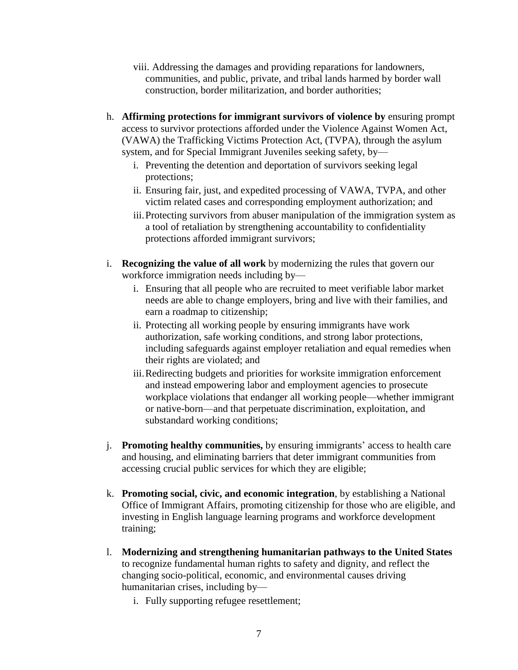- viii. Addressing the damages and providing reparations for landowners, communities, and public, private, and tribal lands harmed by border wall construction, border militarization, and border authorities;
- h. **Affirming protections for immigrant survivors of violence by** ensuring prompt access to survivor protections afforded under the Violence Against Women Act, (VAWA) the Trafficking Victims Protection Act, (TVPA), through the asylum system, and for Special Immigrant Juveniles seeking safety, by
	- i. Preventing the detention and deportation of survivors seeking legal protections;
	- ii. Ensuring fair, just, and expedited processing of VAWA, TVPA, and other victim related cases and corresponding employment authorization; and
	- iii.Protecting survivors from abuser manipulation of the immigration system as a tool of retaliation by strengthening accountability to confidentiality protections afforded immigrant survivors;
- i. **Recognizing the value of all work** by modernizing the rules that govern our workforce immigration needs including by
	- i. Ensuring that all people who are recruited to meet verifiable labor market needs are able to change employers, bring and live with their families, and earn a roadmap to citizenship;
	- ii. Protecting all working people by ensuring immigrants have work authorization, safe working conditions, and strong labor protections, including safeguards against employer retaliation and equal remedies when their rights are violated; and
	- iii.Redirecting budgets and priorities for worksite immigration enforcement and instead empowering labor and employment agencies to prosecute workplace violations that endanger all working people—whether immigrant or native-born—and that perpetuate discrimination, exploitation, and substandard working conditions;
- j. **Promoting healthy communities,** by ensuring immigrants' access to health care and housing, and eliminating barriers that deter immigrant communities from accessing crucial public services for which they are eligible;
- k. **Promoting social, civic, and economic integration**, by establishing a National Office of Immigrant Affairs, promoting citizenship for those who are eligible, and investing in English language learning programs and workforce development training;
- l. **Modernizing and strengthening humanitarian pathways to the United States** to recognize fundamental human rights to safety and dignity, and reflect the changing socio-political, economic, and environmental causes driving humanitarian crises, including by
	- i. Fully supporting refugee resettlement;